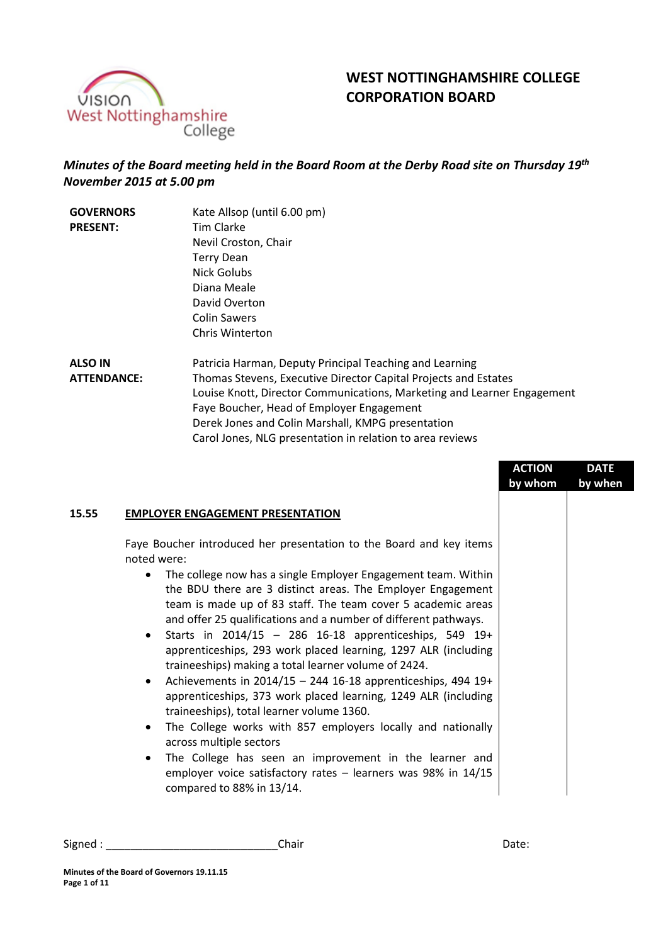

# **WEST NOTTINGHAMSHIRE COLLEGE CORPORATION BOARD**

# *Minutes of the Board meeting held in the Board Room at the Derby Road site on Thursday 19th November 2015 at 5.00 pm*

| <b>GOVERNORS</b>   | Kate Allsop (until 6.00 pm)                                                   |
|--------------------|-------------------------------------------------------------------------------|
| <b>PRESENT:</b>    | <b>Tim Clarke</b>                                                             |
|                    | Nevil Croston, Chair                                                          |
|                    | <b>Terry Dean</b>                                                             |
|                    | Nick Golubs                                                                   |
|                    | Diana Meale                                                                   |
|                    | David Overton                                                                 |
|                    | <b>Colin Sawers</b>                                                           |
|                    | Chris Winterton                                                               |
| <b>ALSO IN</b>     | Patricia Harman, Deputy Principal Tead                                        |
| <b>ATTENDANCE:</b> | Thomas Stevens, Executive Director Ca<br>Louise Knott, Director Communication |

ching and Learning apital Projects and Estates Louise Knott, Director Communications, Marketing and Learner Engagement Faye Boucher, Head of Employer Engagement Derek Jones and Colin Marshall, KMPG presentation Carol Jones, NLG presentation in relation to area reviews

|                                                                                                                                                                                                                                                                                                                                                                                                                                                                                                                                                                                                                                                                                                                                                                                  | <b>ACTION</b><br>by whom | <b>DATE</b><br>by when |
|----------------------------------------------------------------------------------------------------------------------------------------------------------------------------------------------------------------------------------------------------------------------------------------------------------------------------------------------------------------------------------------------------------------------------------------------------------------------------------------------------------------------------------------------------------------------------------------------------------------------------------------------------------------------------------------------------------------------------------------------------------------------------------|--------------------------|------------------------|
|                                                                                                                                                                                                                                                                                                                                                                                                                                                                                                                                                                                                                                                                                                                                                                                  |                          |                        |
| <b>EMPLOYER ENGAGEMENT PRESENTATION</b>                                                                                                                                                                                                                                                                                                                                                                                                                                                                                                                                                                                                                                                                                                                                          |                          |                        |
| Faye Boucher introduced her presentation to the Board and key items<br>noted were:                                                                                                                                                                                                                                                                                                                                                                                                                                                                                                                                                                                                                                                                                               |                          |                        |
| The college now has a single Employer Engagement team. Within<br>$\bullet$<br>the BDU there are 3 distinct areas. The Employer Engagement<br>team is made up of 83 staff. The team cover 5 academic areas<br>and offer 25 qualifications and a number of different pathways.<br>Starts in 2014/15 - 286 16-18 apprenticeships, 549 19+<br>$\bullet$<br>apprenticeships, 293 work placed learning, 1297 ALR (including<br>traineeships) making a total learner volume of 2424.<br>Achievements in 2014/15 - 244 16-18 apprenticeships, 494 19+<br>$\bullet$<br>apprenticeships, 373 work placed learning, 1249 ALR (including<br>traineeships), total learner volume 1360.<br>The College works with 857 employers locally and nationally<br>$\bullet$<br>across multiple sectors |                          |                        |
| The College has seen an improvement in the learner and<br>$\bullet$<br>employer voice satisfactory rates $-$ learners was 98% in 14/15<br>compared to 88% in 13/14.                                                                                                                                                                                                                                                                                                                                                                                                                                                                                                                                                                                                              |                          |                        |

Signed : \_\_\_\_\_\_\_\_\_\_\_\_\_\_\_\_\_\_\_\_\_\_\_\_\_\_\_\_Chair Date: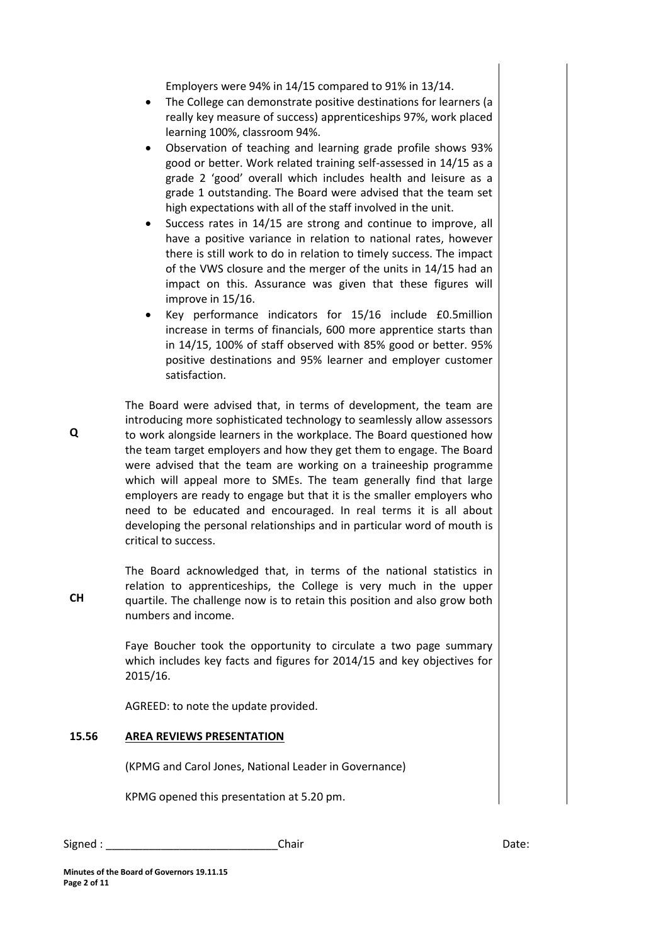Employers were 94% in 14/15 compared to 91% in 13/14.

- The College can demonstrate positive destinations for learners (a really key measure of success) apprenticeships 97%, work placed learning 100%, classroom 94%.
- Observation of teaching and learning grade profile shows 93% good or better. Work related training self-assessed in 14/15 as a grade 2 'good' overall which includes health and leisure as a grade 1 outstanding. The Board were advised that the team set high expectations with all of the staff involved in the unit.
- Success rates in 14/15 are strong and continue to improve, all have a positive variance in relation to national rates, however there is still work to do in relation to timely success. The impact of the VWS closure and the merger of the units in 14/15 had an impact on this. Assurance was given that these figures will improve in 15/16.
- Key performance indicators for 15/16 include £0.5million increase in terms of financials, 600 more apprentice starts than in 14/15, 100% of staff observed with 85% good or better. 95% positive destinations and 95% learner and employer customer satisfaction.

The Board were advised that, in terms of development, the team are introducing more sophisticated technology to seamlessly allow assessors to work alongside learners in the workplace. The Board questioned how the team target employers and how they get them to engage. The Board were advised that the team are working on a traineeship programme which will appeal more to SMEs. The team generally find that large employers are ready to engage but that it is the smaller employers who need to be educated and encouraged. In real terms it is all about developing the personal relationships and in particular word of mouth is critical to success.

The Board acknowledged that, in terms of the national statistics in relation to apprenticeships, the College is very much in the upper quartile. The challenge now is to retain this position and also grow both numbers and income.

Faye Boucher took the opportunity to circulate a two page summary which includes key facts and figures for 2014/15 and key objectives for 2015/16.

AGREED: to note the update provided.

# **15.56 AREA REVIEWS PRESENTATION**

(KPMG and Carol Jones, National Leader in Governance)

KPMG opened this presentation at 5.20 pm.

Signed : \_\_\_\_\_\_\_\_\_\_\_\_\_\_\_\_\_\_\_\_\_\_\_\_\_\_\_\_Chair Date:

**Minutes of the Board of Governors 19.11.15 Page 2 of 11**

**CH**

**Q**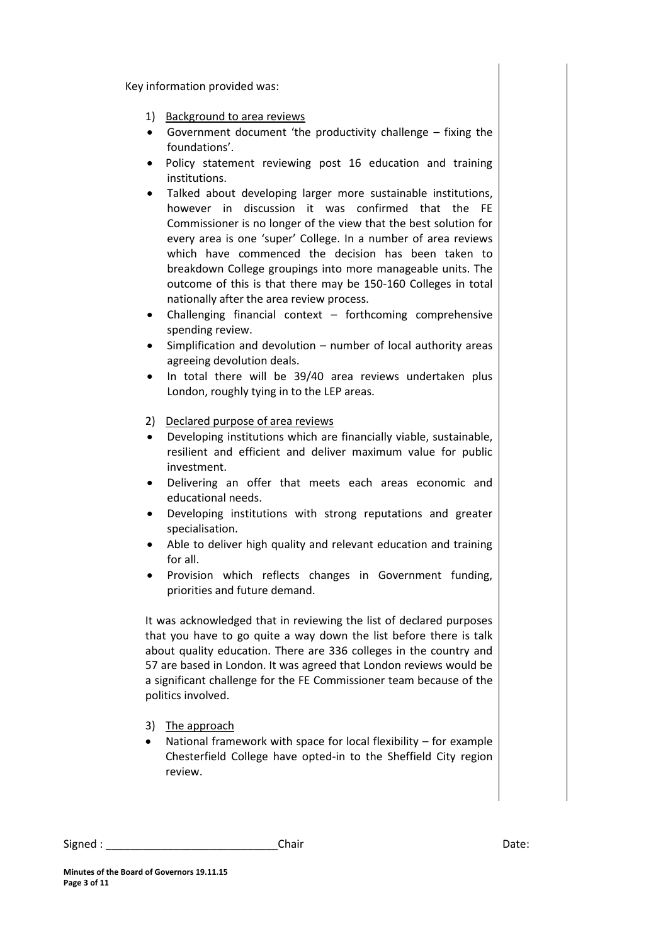Key information provided was:

- 1) Background to area reviews
- Government document 'the productivity challenge fixing the foundations'.
- Policy statement reviewing post 16 education and training institutions.
- Talked about developing larger more sustainable institutions, however in discussion it was confirmed that the FE Commissioner is no longer of the view that the best solution for every area is one 'super' College. In a number of area reviews which have commenced the decision has been taken to breakdown College groupings into more manageable units. The outcome of this is that there may be 150-160 Colleges in total nationally after the area review process.
- Challenging financial context forthcoming comprehensive spending review.
- Simplification and devolution number of local authority areas agreeing devolution deals.
- In total there will be 39/40 area reviews undertaken plus London, roughly tying in to the LEP areas.
- 2) Declared purpose of area reviews
- Developing institutions which are financially viable, sustainable, resilient and efficient and deliver maximum value for public investment.
- Delivering an offer that meets each areas economic and educational needs.
- Developing institutions with strong reputations and greater specialisation.
- Able to deliver high quality and relevant education and training for all.
- Provision which reflects changes in Government funding, priorities and future demand.

It was acknowledged that in reviewing the list of declared purposes that you have to go quite a way down the list before there is talk about quality education. There are 336 colleges in the country and 57 are based in London. It was agreed that London reviews would be a significant challenge for the FE Commissioner team because of the politics involved.

- 3) The approach
- National framework with space for local flexibility for example Chesterfield College have opted-in to the Sheffield City region review.

Signed : \_\_\_\_\_\_\_\_\_\_\_\_\_\_\_\_\_\_\_\_\_\_\_\_\_\_\_\_Chair Date: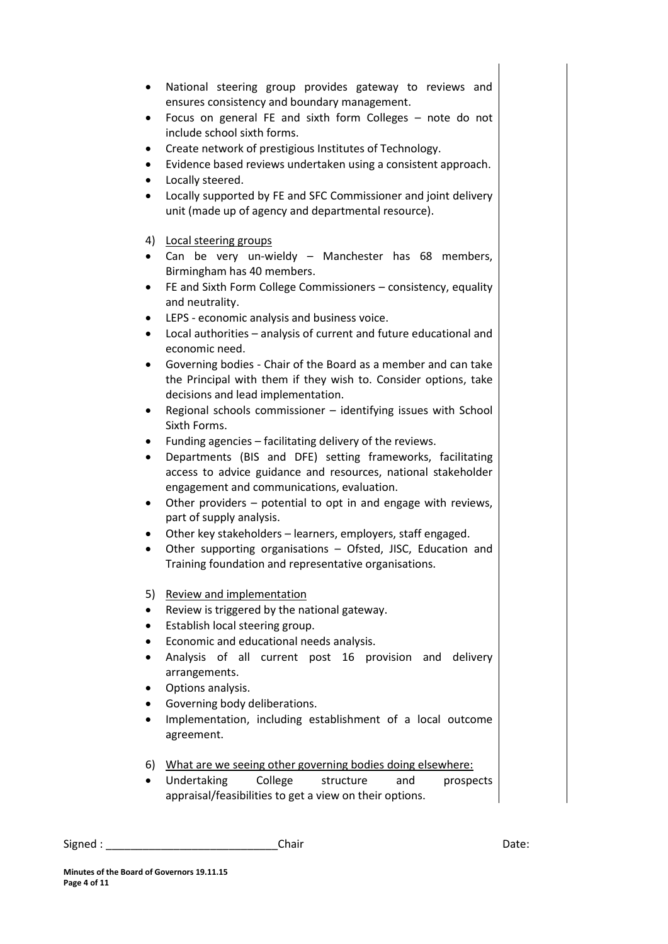- National steering group provides gateway to reviews and ensures consistency and boundary management.
- Focus on general FE and sixth form Colleges note do not include school sixth forms.
- Create network of prestigious Institutes of Technology.
- Evidence based reviews undertaken using a consistent approach.
- Locally steered.
- Locally supported by FE and SFC Commissioner and joint delivery unit (made up of agency and departmental resource).
- 4) Local steering groups
- Can be very un-wieldy Manchester has 68 members, Birmingham has 40 members.
- FE and Sixth Form College Commissioners consistency, equality and neutrality.
- LEPS economic analysis and business voice.
- Local authorities analysis of current and future educational and economic need.
- Governing bodies Chair of the Board as a member and can take the Principal with them if they wish to. Consider options, take decisions and lead implementation.
- Regional schools commissioner identifying issues with School Sixth Forms.
- Funding agencies facilitating delivery of the reviews.
- Departments (BIS and DFE) setting frameworks, facilitating access to advice guidance and resources, national stakeholder engagement and communications, evaluation.
- Other providers potential to opt in and engage with reviews, part of supply analysis.
- Other key stakeholders learners, employers, staff engaged.
- Other supporting organisations Ofsted, JISC, Education and Training foundation and representative organisations.
- 5) Review and implementation
- Review is triggered by the national gateway.
- Establish local steering group.
- Economic and educational needs analysis.
- Analysis of all current post 16 provision and delivery arrangements.
- Options analysis.
- Governing body deliberations.
- Implementation, including establishment of a local outcome agreement.
- 6) What are we seeing other governing bodies doing elsewhere:
- Undertaking College structure and prospects appraisal/feasibilities to get a view on their options.

Signed : \_\_\_\_\_\_\_\_\_\_\_\_\_\_\_\_\_\_\_\_\_\_\_\_\_\_\_\_Chair Date: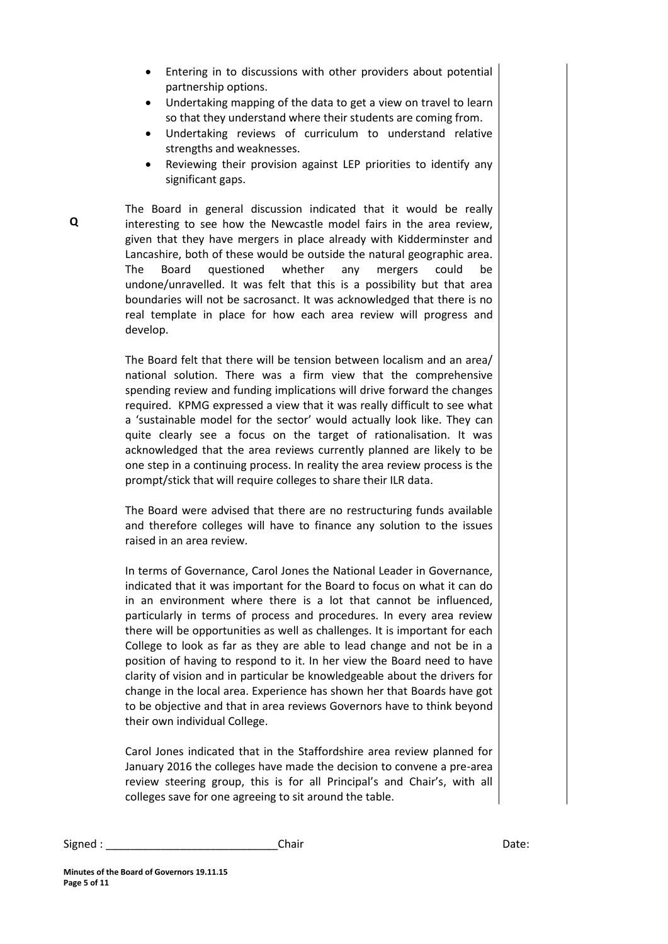- Entering in to discussions with other providers about potential partnership options.
- Undertaking mapping of the data to get a view on travel to learn so that they understand where their students are coming from.
- Undertaking reviews of curriculum to understand relative strengths and weaknesses.
- Reviewing their provision against LEP priorities to identify any significant gaps.

The Board in general discussion indicated that it would be really interesting to see how the Newcastle model fairs in the area review, given that they have mergers in place already with Kidderminster and Lancashire, both of these would be outside the natural geographic area. The Board questioned whether any mergers could be undone/unravelled. It was felt that this is a possibility but that area boundaries will not be sacrosanct. It was acknowledged that there is no real template in place for how each area review will progress and develop.

The Board felt that there will be tension between localism and an area/ national solution. There was a firm view that the comprehensive spending review and funding implications will drive forward the changes required. KPMG expressed a view that it was really difficult to see what a 'sustainable model for the sector' would actually look like. They can quite clearly see a focus on the target of rationalisation. It was acknowledged that the area reviews currently planned are likely to be one step in a continuing process. In reality the area review process is the prompt/stick that will require colleges to share their ILR data.

The Board were advised that there are no restructuring funds available and therefore colleges will have to finance any solution to the issues raised in an area review.

In terms of Governance, Carol Jones the National Leader in Governance, indicated that it was important for the Board to focus on what it can do in an environment where there is a lot that cannot be influenced, particularly in terms of process and procedures. In every area review there will be opportunities as well as challenges. It is important for each College to look as far as they are able to lead change and not be in a position of having to respond to it. In her view the Board need to have clarity of vision and in particular be knowledgeable about the drivers for change in the local area. Experience has shown her that Boards have got to be objective and that in area reviews Governors have to think beyond their own individual College.

Carol Jones indicated that in the Staffordshire area review planned for January 2016 the colleges have made the decision to convene a pre-area review steering group, this is for all Principal's and Chair's, with all colleges save for one agreeing to sit around the table.

Signed : \_\_\_\_\_\_\_\_\_\_\_\_\_\_\_\_\_\_\_\_\_\_\_\_\_\_\_\_Chair Date: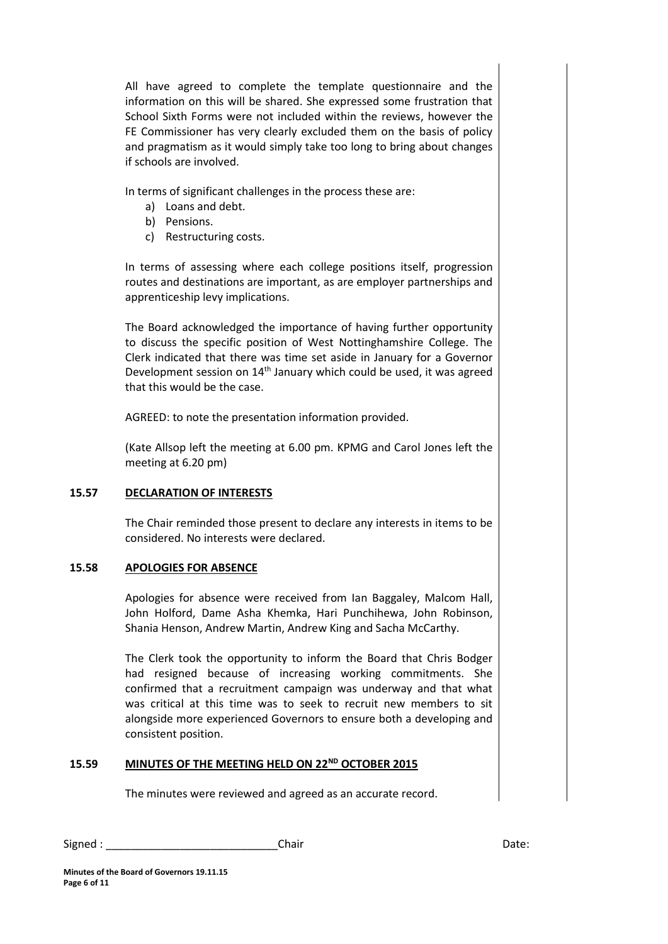All have agreed to complete the template questionnaire and the information on this will be shared. She expressed some frustration that School Sixth Forms were not included within the reviews, however the FE Commissioner has very clearly excluded them on the basis of policy and pragmatism as it would simply take too long to bring about changes if schools are involved.

In terms of significant challenges in the process these are:

- a) Loans and debt.
- b) Pensions.
- c) Restructuring costs.

In terms of assessing where each college positions itself, progression routes and destinations are important, as are employer partnerships and apprenticeship levy implications.

The Board acknowledged the importance of having further opportunity to discuss the specific position of West Nottinghamshire College. The Clerk indicated that there was time set aside in January for a Governor Development session on 14th January which could be used, it was agreed that this would be the case.

AGREED: to note the presentation information provided.

(Kate Allsop left the meeting at 6.00 pm. KPMG and Carol Jones left the meeting at 6.20 pm)

# **15.57 DECLARATION OF INTERESTS**

The Chair reminded those present to declare any interests in items to be considered. No interests were declared.

# **15.58 APOLOGIES FOR ABSENCE**

Apologies for absence were received from Ian Baggaley, Malcom Hall, John Holford, Dame Asha Khemka, Hari Punchihewa, John Robinson, Shania Henson, Andrew Martin, Andrew King and Sacha McCarthy.

The Clerk took the opportunity to inform the Board that Chris Bodger had resigned because of increasing working commitments. She confirmed that a recruitment campaign was underway and that what was critical at this time was to seek to recruit new members to sit alongside more experienced Governors to ensure both a developing and consistent position.

# **15.59 MINUTES OF THE MEETING HELD ON 22ND OCTOBER 2015**

The minutes were reviewed and agreed as an accurate record.

| Signed: | Chair | ר+∼<br>Dale. |
|---------|-------|--------------|
|---------|-------|--------------|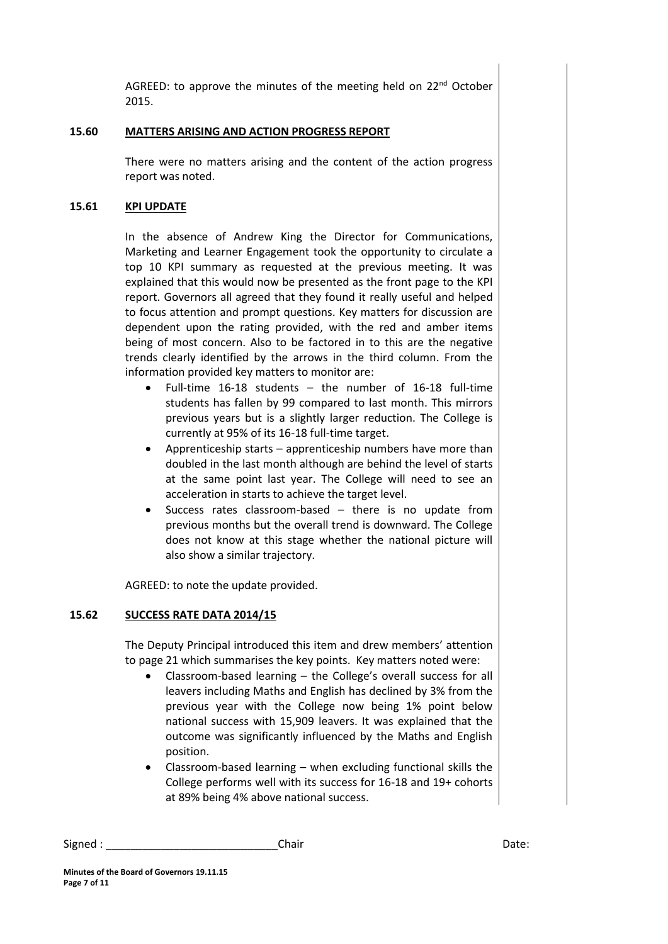AGREED: to approve the minutes of the meeting held on 22<sup>nd</sup> October 2015.

# **15.60 MATTERS ARISING AND ACTION PROGRESS REPORT**

There were no matters arising and the content of the action progress report was noted.

## **15.61 KPI UPDATE**

In the absence of Andrew King the Director for Communications, Marketing and Learner Engagement took the opportunity to circulate a top 10 KPI summary as requested at the previous meeting. It was explained that this would now be presented as the front page to the KPI report. Governors all agreed that they found it really useful and helped to focus attention and prompt questions. Key matters for discussion are dependent upon the rating provided, with the red and amber items being of most concern. Also to be factored in to this are the negative trends clearly identified by the arrows in the third column. From the information provided key matters to monitor are:

- Full-time 16-18 students the number of 16-18 full-time students has fallen by 99 compared to last month. This mirrors previous years but is a slightly larger reduction. The College is currently at 95% of its 16-18 full-time target.
- Apprenticeship starts apprenticeship numbers have more than doubled in the last month although are behind the level of starts at the same point last year. The College will need to see an acceleration in starts to achieve the target level.
- Success rates classroom-based there is no update from previous months but the overall trend is downward. The College does not know at this stage whether the national picture will also show a similar trajectory.

AGREED: to note the update provided.

#### **15.62 SUCCESS RATE DATA 2014/15**

The Deputy Principal introduced this item and drew members' attention to page 21 which summarises the key points. Key matters noted were:

- Classroom-based learning the College's overall success for all leavers including Maths and English has declined by 3% from the previous year with the College now being 1% point below national success with 15,909 leavers. It was explained that the outcome was significantly influenced by the Maths and English position.
- Classroom-based learning when excluding functional skills the College performs well with its success for 16-18 and 19+ cohorts at 89% being 4% above national success.

```
Signed : ____________________________Chair Date:
```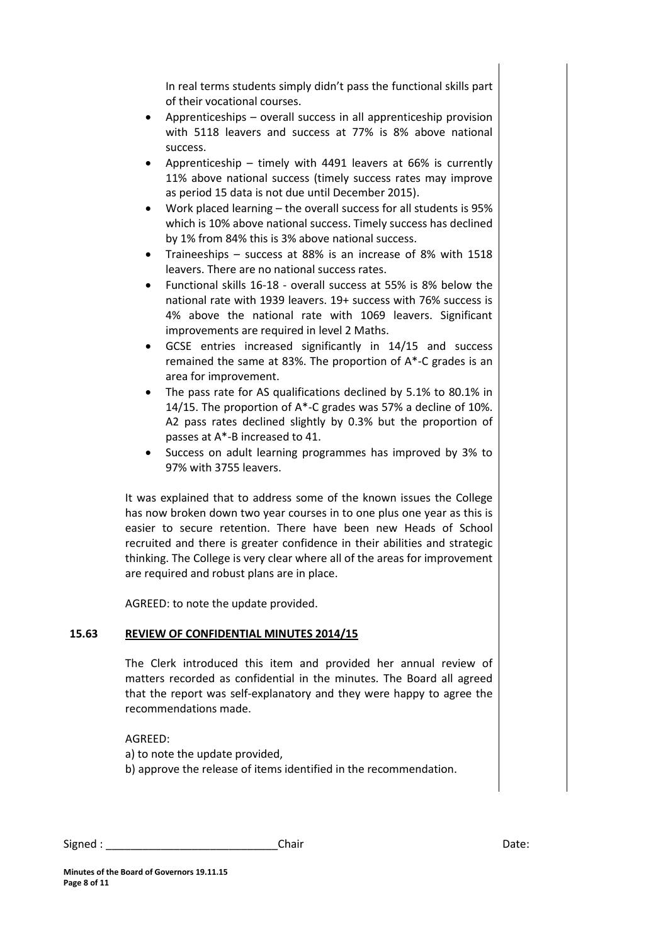In real terms students simply didn't pass the functional skills part of their vocational courses.

- Apprenticeships overall success in all apprenticeship provision with 5118 leavers and success at 77% is 8% above national success.
- Apprenticeship timely with 4491 leavers at 66% is currently 11% above national success (timely success rates may improve as period 15 data is not due until December 2015).
- Work placed learning the overall success for all students is 95% which is 10% above national success. Timely success has declined by 1% from 84% this is 3% above national success.
- Traineeships success at 88% is an increase of 8% with 1518 leavers. There are no national success rates.
- Functional skills 16-18 overall success at 55% is 8% below the national rate with 1939 leavers. 19+ success with 76% success is 4% above the national rate with 1069 leavers. Significant improvements are required in level 2 Maths.
- GCSE entries increased significantly in 14/15 and success remained the same at 83%. The proportion of A\*-C grades is an area for improvement.
- The pass rate for AS qualifications declined by 5.1% to 80.1% in 14/15. The proportion of A\*-C grades was 57% a decline of 10%. A2 pass rates declined slightly by 0.3% but the proportion of passes at A\*-B increased to 41.
- Success on adult learning programmes has improved by 3% to 97% with 3755 leavers.

It was explained that to address some of the known issues the College has now broken down two year courses in to one plus one year as this is easier to secure retention. There have been new Heads of School recruited and there is greater confidence in their abilities and strategic thinking. The College is very clear where all of the areas for improvement are required and robust plans are in place.

AGREED: to note the update provided.

# **15.63 REVIEW OF CONFIDENTIAL MINUTES 2014/15**

The Clerk introduced this item and provided her annual review of matters recorded as confidential in the minutes. The Board all agreed that the report was self-explanatory and they were happy to agree the recommendations made.

AGREED:

a) to note the update provided,

b) approve the release of items identified in the recommendation.

| $\sim$<br>Signed | Chair<br>____ | . . |
|------------------|---------------|-----|
|------------------|---------------|-----|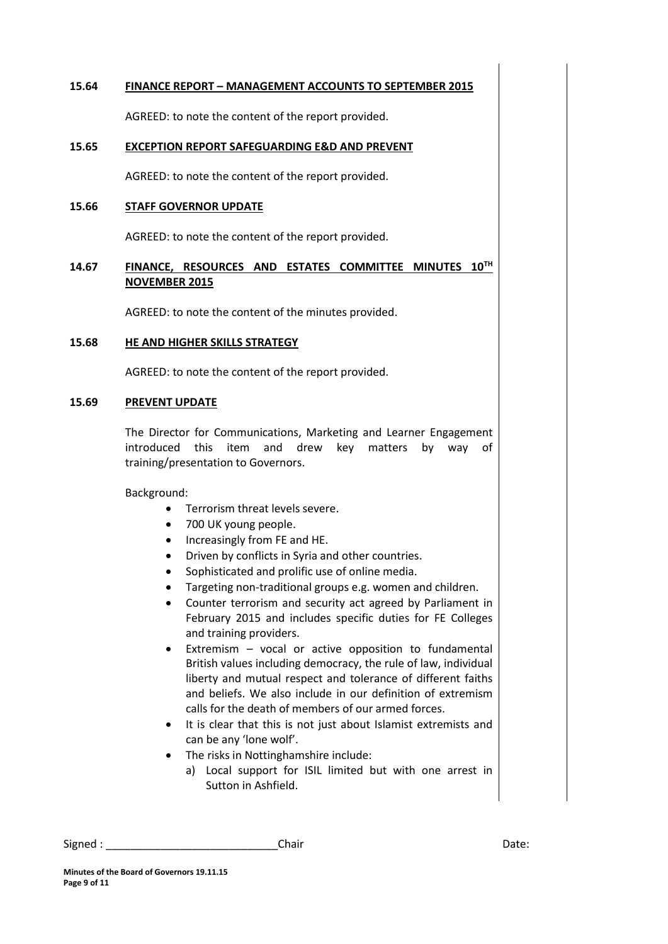#### **15.64 FINANCE REPORT – MANAGEMENT ACCOUNTS TO SEPTEMBER 2015**

AGREED: to note the content of the report provided.

# **15.65 EXCEPTION REPORT SAFEGUARDING E&D AND PREVENT**

AGREED: to note the content of the report provided.

#### **15.66 STAFF GOVERNOR UPDATE**

AGREED: to note the content of the report provided.

# **14.67 FINANCE, RESOURCES AND ESTATES COMMITTEE MINUTES 10TH NOVEMBER 2015**

AGREED: to note the content of the minutes provided.

#### **15.68 HE AND HIGHER SKILLS STRATEGY**

AGREED: to note the content of the report provided.

#### **15.69 PREVENT UPDATE**

The Director for Communications, Marketing and Learner Engagement introduced this item and drew key matters by way of training/presentation to Governors.

Background:

- **•** Terrorism threat levels severe.
- 700 UK young people.
- Increasingly from FE and HE.
- Driven by conflicts in Syria and other countries.
- Sophisticated and prolific use of online media.
- Targeting non-traditional groups e.g. women and children.
- Counter terrorism and security act agreed by Parliament in February 2015 and includes specific duties for FE Colleges and training providers.
- Extremism vocal or active opposition to fundamental British values including democracy, the rule of law, individual liberty and mutual respect and tolerance of different faiths and beliefs. We also include in our definition of extremism calls for the death of members of our armed forces.
- It is clear that this is not just about Islamist extremists and can be any 'lone wolf'.
- The risks in Nottinghamshire include:
	- a) Local support for ISIL limited but with one arrest in Sutton in Ashfield.

```
Signed : ____________________________Chair Date:
```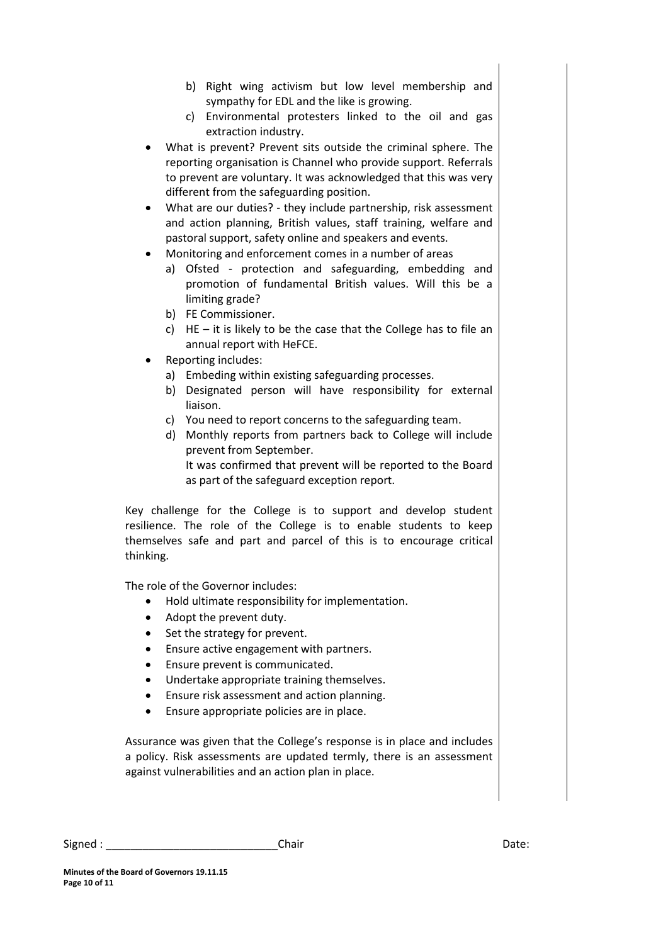- b) Right wing activism but low level membership and sympathy for EDL and the like is growing.
- c) Environmental protesters linked to the oil and gas extraction industry.
- What is prevent? Prevent sits outside the criminal sphere. The reporting organisation is Channel who provide support. Referrals to prevent are voluntary. It was acknowledged that this was very different from the safeguarding position.
- What are our duties? they include partnership, risk assessment and action planning, British values, staff training, welfare and pastoral support, safety online and speakers and events.
- Monitoring and enforcement comes in a number of areas
	- a) Ofsted protection and safeguarding, embedding and promotion of fundamental British values. Will this be a limiting grade?
	- b) FE Commissioner.
	- c)  $HE it$  is likely to be the case that the College has to file an annual report with HeFCE.
- Reporting includes:
	- a) Embeding within existing safeguarding processes.
	- b) Designated person will have responsibility for external liaison.
	- c) You need to report concerns to the safeguarding team.
	- d) Monthly reports from partners back to College will include prevent from September.

It was confirmed that prevent will be reported to the Board as part of the safeguard exception report.

Key challenge for the College is to support and develop student resilience. The role of the College is to enable students to keep themselves safe and part and parcel of this is to encourage critical thinking.

The role of the Governor includes:

- Hold ultimate responsibility for implementation.
- Adopt the prevent duty.
- Set the strategy for prevent.
- Ensure active engagement with partners.
- Ensure prevent is communicated.
- Undertake appropriate training themselves.
- Ensure risk assessment and action planning.
- Ensure appropriate policies are in place.

Assurance was given that the College's response is in place and includes a policy. Risk assessments are updated termly, there is an assessment against vulnerabilities and an action plan in place.

Signed : \_\_\_\_\_\_\_\_\_\_\_\_\_\_\_\_\_\_\_\_\_\_\_\_\_\_\_\_Chair Date: